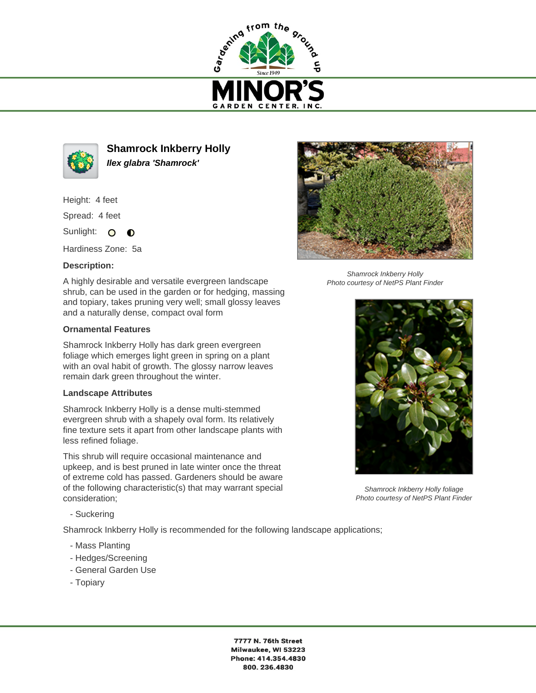



**Shamrock Inkberry Holly Ilex glabra 'Shamrock'**

Height: 4 feet

Spread: 4 feet

Sunlight: O  $\bullet$ 

Hardiness Zone: 5a

## **Description:**

A highly desirable and versatile evergreen landscape shrub, can be used in the garden or for hedging, massing and topiary, takes pruning very well; small glossy leaves and a naturally dense, compact oval form

## **Ornamental Features**

Shamrock Inkberry Holly has dark green evergreen foliage which emerges light green in spring on a plant with an oval habit of growth. The glossy narrow leaves remain dark green throughout the winter.

## **Landscape Attributes**

Shamrock Inkberry Holly is a dense multi-stemmed evergreen shrub with a shapely oval form. Its relatively fine texture sets it apart from other landscape plants with less refined foliage.

This shrub will require occasional maintenance and upkeep, and is best pruned in late winter once the threat of extreme cold has passed. Gardeners should be aware of the following characteristic(s) that may warrant special consideration;



Shamrock Inkberry Holly Photo courtesy of NetPS Plant Finder



Shamrock Inkberry Holly foliage Photo courtesy of NetPS Plant Finder

- Suckering

Shamrock Inkberry Holly is recommended for the following landscape applications;

- Mass Planting
- Hedges/Screening
- General Garden Use
- Topiary

7777 N. 76th Street Milwaukee, WI 53223 Phone: 414.354.4830 800.236.4830